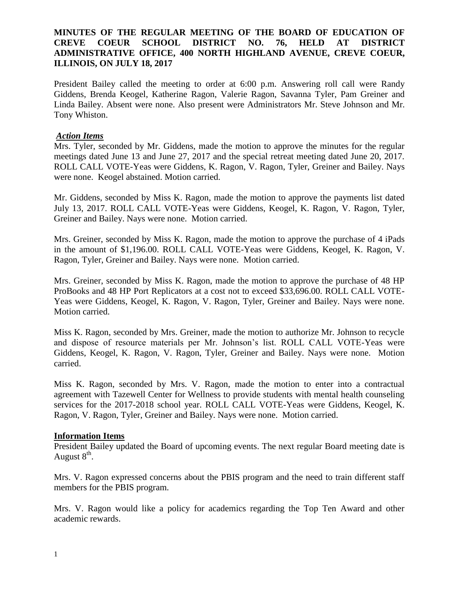# **MINUTES OF THE REGULAR MEETING OF THE BOARD OF EDUCATION OF CREVE COEUR SCHOOL DISTRICT NO. 76, HELD AT DISTRICT ADMINISTRATIVE OFFICE, 400 NORTH HIGHLAND AVENUE, CREVE COEUR, ILLINOIS, ON JULY 18, 2017**

President Bailey called the meeting to order at 6:00 p.m. Answering roll call were Randy Giddens, Brenda Keogel, Katherine Ragon, Valerie Ragon, Savanna Tyler, Pam Greiner and Linda Bailey. Absent were none. Also present were Administrators Mr. Steve Johnson and Mr. Tony Whiston.

# *Action Items*

Mrs. Tyler, seconded by Mr. Giddens, made the motion to approve the minutes for the regular meetings dated June 13 and June 27, 2017 and the special retreat meeting dated June 20, 2017. ROLL CALL VOTE-Yeas were Giddens, K. Ragon, V. Ragon, Tyler, Greiner and Bailey. Nays were none. Keogel abstained. Motion carried.

Mr. Giddens, seconded by Miss K. Ragon, made the motion to approve the payments list dated July 13, 2017. ROLL CALL VOTE-Yeas were Giddens, Keogel, K. Ragon, V. Ragon, Tyler, Greiner and Bailey. Nays were none. Motion carried.

Mrs. Greiner, seconded by Miss K. Ragon, made the motion to approve the purchase of 4 iPads in the amount of \$1,196.00. ROLL CALL VOTE-Yeas were Giddens, Keogel, K. Ragon, V. Ragon, Tyler, Greiner and Bailey. Nays were none. Motion carried.

Mrs. Greiner, seconded by Miss K. Ragon, made the motion to approve the purchase of 48 HP ProBooks and 48 HP Port Replicators at a cost not to exceed \$33,696.00. ROLL CALL VOTE-Yeas were Giddens, Keogel, K. Ragon, V. Ragon, Tyler, Greiner and Bailey. Nays were none. Motion carried.

Miss K. Ragon, seconded by Mrs. Greiner, made the motion to authorize Mr. Johnson to recycle and dispose of resource materials per Mr. Johnson's list. ROLL CALL VOTE-Yeas were Giddens, Keogel, K. Ragon, V. Ragon, Tyler, Greiner and Bailey. Nays were none. Motion carried.

Miss K. Ragon, seconded by Mrs. V. Ragon, made the motion to enter into a contractual agreement with Tazewell Center for Wellness to provide students with mental health counseling services for the 2017-2018 school year. ROLL CALL VOTE-Yeas were Giddens, Keogel, K. Ragon, V. Ragon, Tyler, Greiner and Bailey. Nays were none. Motion carried.

#### **Information Items**

President Bailey updated the Board of upcoming events. The next regular Board meeting date is August  $8^{\text{th}}$ .

Mrs. V. Ragon expressed concerns about the PBIS program and the need to train different staff members for the PBIS program.

Mrs. V. Ragon would like a policy for academics regarding the Top Ten Award and other academic rewards.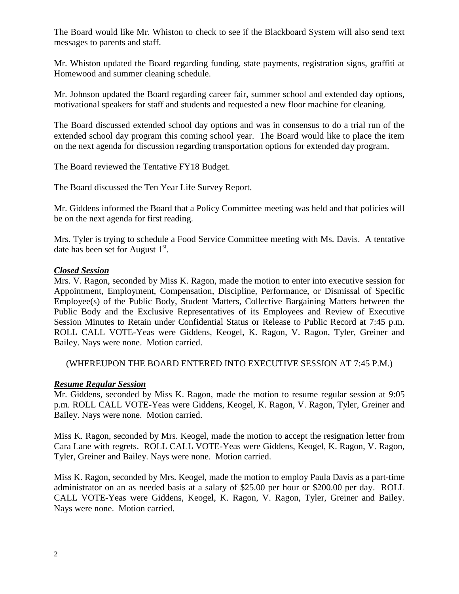The Board would like Mr. Whiston to check to see if the Blackboard System will also send text messages to parents and staff.

Mr. Whiston updated the Board regarding funding, state payments, registration signs, graffiti at Homewood and summer cleaning schedule.

Mr. Johnson updated the Board regarding career fair, summer school and extended day options, motivational speakers for staff and students and requested a new floor machine for cleaning.

The Board discussed extended school day options and was in consensus to do a trial run of the extended school day program this coming school year. The Board would like to place the item on the next agenda for discussion regarding transportation options for extended day program.

The Board reviewed the Tentative FY18 Budget.

The Board discussed the Ten Year Life Survey Report.

Mr. Giddens informed the Board that a Policy Committee meeting was held and that policies will be on the next agenda for first reading.

Mrs. Tyler is trying to schedule a Food Service Committee meeting with Ms. Davis. A tentative date has been set for August  $1<sup>st</sup>$ .

### *Closed Session*

Mrs. V. Ragon, seconded by Miss K. Ragon, made the motion to enter into executive session for Appointment, Employment, Compensation, Discipline, Performance, or Dismissal of Specific Employee(s) of the Public Body, Student Matters, Collective Bargaining Matters between the Public Body and the Exclusive Representatives of its Employees and Review of Executive Session Minutes to Retain under Confidential Status or Release to Public Record at 7:45 p.m. ROLL CALL VOTE-Yeas were Giddens, Keogel, K. Ragon, V. Ragon, Tyler, Greiner and Bailey. Nays were none. Motion carried.

(WHEREUPON THE BOARD ENTERED INTO EXECUTIVE SESSION AT 7:45 P.M.)

# *Resume Regular Session*

Mr. Giddens, seconded by Miss K. Ragon, made the motion to resume regular session at 9:05 p.m. ROLL CALL VOTE-Yeas were Giddens, Keogel, K. Ragon, V. Ragon, Tyler, Greiner and Bailey. Nays were none. Motion carried.

Miss K. Ragon, seconded by Mrs. Keogel, made the motion to accept the resignation letter from Cara Lane with regrets. ROLL CALL VOTE-Yeas were Giddens, Keogel, K. Ragon, V. Ragon, Tyler, Greiner and Bailey. Nays were none. Motion carried.

Miss K. Ragon, seconded by Mrs. Keogel, made the motion to employ Paula Davis as a part-time administrator on an as needed basis at a salary of \$25.00 per hour or \$200.00 per day. ROLL CALL VOTE-Yeas were Giddens, Keogel, K. Ragon, V. Ragon, Tyler, Greiner and Bailey. Nays were none. Motion carried.